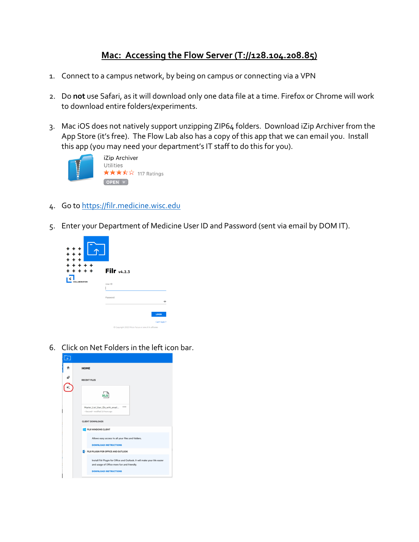## **Mac: Accessing the Flow Server (T://128.104.208.85)**

- 1. Connect to a campus network, by being on campus or connecting via a VPN
- 2. Do **not** use Safari, as it will download only one data file at a time. Firefox or Chrome will work to download entire folders/experiments.
- 3. Mac iOS does not natively support unzipping ZIP64 folders. Download iZip Archiver from the App Store (it's free). The Flow Lab also has a copy of this app that we can email you. Install this app (you may need your department's IT staff to do this for you).



iZip Archiver Utilities ★★★☆☆ 117 Ratings  $[$  OPEN  $\blacktriangledown$ 

- 4. Go to [https://filr.medicine.wisc.edu](https://filr.medicine.wisc.edu/)
- 5. Enter your Department of Medicine User ID and Password (sent via email by DOM IT).



6. Click on Net Folders in the left icon bar.